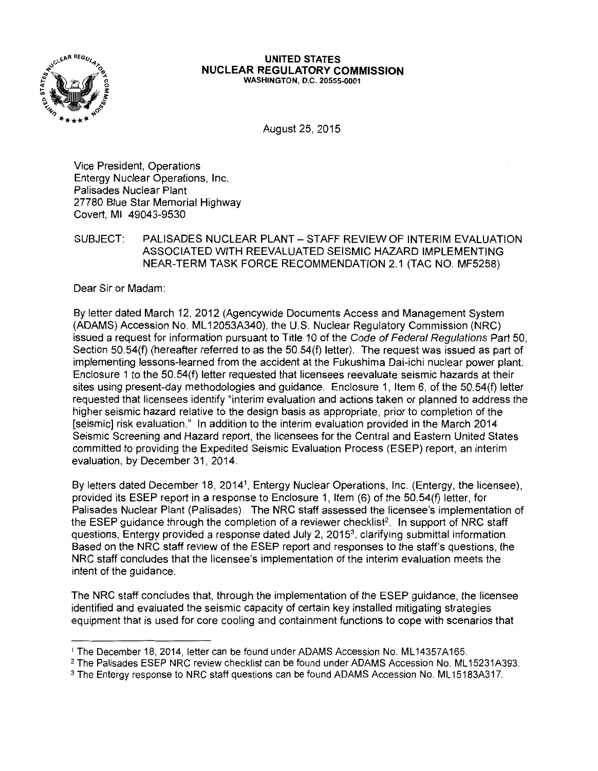

## **UNITED STATES NUCLEAR REGULATORY COMMISSION**

WASHINGTON, D.C. 20555-0001

August 25, 2015

Vice President, Operations Entergy Nuclear Operations, Inc. Palisades Nuclear Plant 27780 Blue Star Memorial Highway Covert, Ml 49043-9530

SUBJECT: PALISADES NUCLEAR PLANT - STAFF REVIEW OF INTERIM EVALUATION ASSOCIATED WITH REEVALUATED SEISMIC HAZARD IMPLEMENTING NEAR-TERM TASK FORCE RECOMMENDATION 2.1 (TAC NO. MF5258)

Dear Sir or Madam:

By letter dated March 12, 2012 (Agencywide Documents Access and Management System (ADAMS) Accession No. ML 12053A340), the U.S. Nuclear Regulatory Commission (NRC) issued a request for information pursuant to Title 10 of the Code of Federal Regulations Part 50, Section 50.54(f) (hereafter referred to as the 50.54(f) letter). The request was issued as part of implementing lessons-learned from the accident at the Fukushima Dai-ichi nuclear power plant. Enclosure 1 to the 50.54(f) letter requested that licensees reevaluate seismic hazards at their sites using present-day methodologies and guidance. Enclosure 1, Item 6, of the 50.54(f) letter requested that licensees identify "interim evaluation and actions taken or planned to address the higher seismic hazard relative to the design basis as appropriate, prior to completion of the [seismic] risk evaluation." In addition to the interim evaluation provided in the March 2014 Seismic Screening and Hazard report, the licensees for the Central and Eastern United States committed to providing the Expedited Seismic Evaluation Process (ESEP) report, an interim evaluation, by December 31, 2014.

By letters dated December 18, 2014<sup>1</sup>, Entergy Nuclear Operations, Inc. (Entergy, the licensee), provided its ESEP report in a response to Enclosure 1, Item (6) of the 50.54(f) letter, for Palisades Nuclear Plant (Palisades). The NRC staff assessed the licensee's implementation of the ESEP guidance through the completion of a reviewer checklist<sup>2</sup>. In support of NRC staff questions, Entergy provided a response dated July 2,  $2015<sup>3</sup>$ , clarifying submittal information. Based on the NRC staff review of the ESEP report and responses to the staff's questions, the NRC staff concludes that the licensee's implementation of the interim evaluation meets the intent of the guidance.

The NRC staff concludes that, through the implementation of the ESEP guidance, the licensee identified and evaluated the seismic capacity of certain key installed mitigating strategies equipment that is used for core cooling and containment functions to cope with scenarios that

<sup>1</sup>The December 18, 2014, letter can be found under ADAMS Accession No. ML 14357A165.

<sup>&</sup>lt;sup>2</sup> The Palisades ESEP NRC review checklist can be found under ADAMS Accession No. ML15231A393.

<sup>&</sup>lt;sup>3</sup> The Entergy response to NRC staff questions can be found ADAMS Accession No. ML15183A317.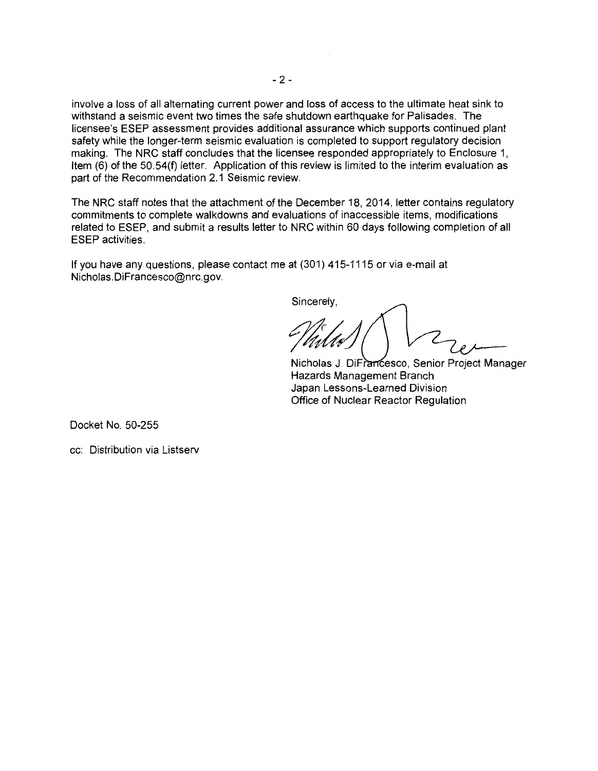involve a loss of all alternating current power and loss of access to the ultimate heat sink to withstand a seismic event two times the safe shutdown earthquake for Palisades. The licensee's ESEP assessment provides additional assurance which supports continued plant safety while the longer-term seismic evaluation is completed to support regulatory decision making. The NRC staff concludes that the licensee responded appropriately to Enclosure 1, Item (6) of the 50.54(f) letter. Application of this review is limited to the interim evaluation as part of the Recommendation 2.1 Seismic review.

The NRC staff notes that the attachment of the December 18, 2014, letter contains regulatory commitments to complete walkdowns and evaluations of inaccessible items, modifications related to ESEP, and submit a results letter to NRC within 60 days following completion of all ESEP activities.

If you have any questions, please contact me at (301) 415-1115 or via e-mail at Nicholas.DiFrancesco@nrc.gov.

Sincerely,

Nicholas J. DiFrancesco, Senior Project Manager Hazards Management Branch Japan Lessons-Learned Division Office of Nuclear Reactor Regulation

Docket No. 50-255

cc: Distribution via Listserv